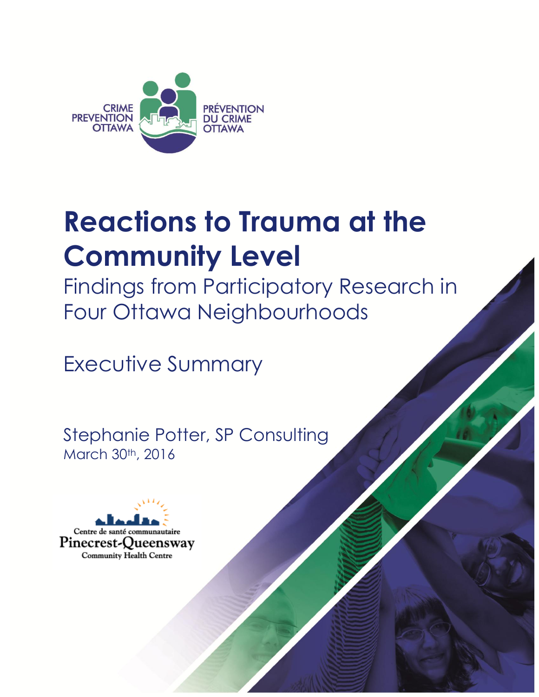

## **Reactions to Trauma at the Community Level**

Findings from Participatory Research in Four Ottawa Neighbourhoods

Executive Summary

Stephanie Potter, SP Consulting March 30<sup>th</sup>, 2016

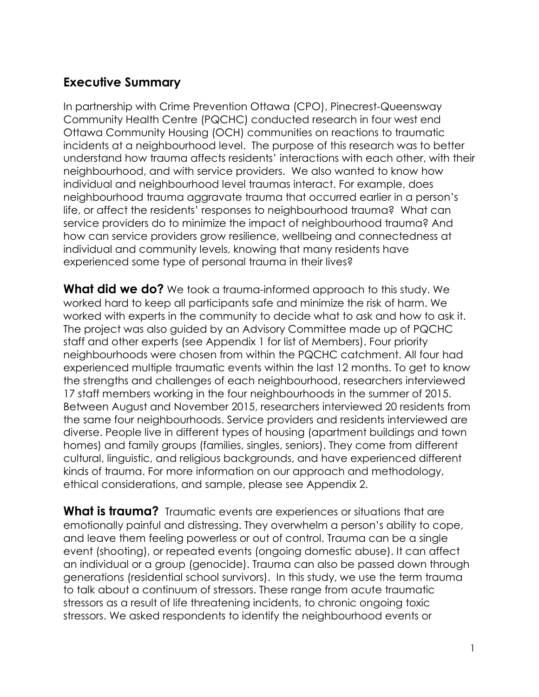## **Executive Summary**

In partnership with Crime Prevention Ottawa (CPO), Pinecrest-Queensway Community Health Centre (PQCHC) conducted research in four west end Ottawa Community Housing (OCH) communities on reactions to traumatic incidents at a neighbourhood level. The purpose of this research was to better understand how trauma affects residents' interactions with each other, with their neighbourhood, and with service providers. We also wanted to know how individual and neighbourhood level traumas interact. For example, does neighbourhood trauma aggravate trauma that occurred earlier in a person's life, or affect the residents' responses to neighbourhood trauma? What can service providers do to minimize the impact of neighbourhood trauma? And how can service providers grow resilience, wellbeing and connectedness at individual and community levels, knowing that many residents have experienced some type of personal trauma in their lives?

**What did we do?** We took a trauma-informed approach to this study. We worked hard to keep all participants safe and minimize the risk of harm. We worked with experts in the community to decide what to ask and how to ask it. The project was also guided by an Advisory Committee made up of PQCHC staff and other experts (see Appendix 1 for list of Members). Four priority neighbourhoods were chosen from within the PQCHC catchment. All four had experienced multiple traumatic events within the last 12 months. To get to know the strengths and challenges of each neighbourhood, researchers interviewed 17 staff members working in the four neighbourhoods in the summer of 2015. Between August and November 2015, researchers interviewed 20 residents from the same four neighbourhoods. Service providers and residents interviewed are diverse. People live in different types of housing (apartment buildings and town homes) and family groups (families, singles, seniors). They come from different cultural, linguistic, and religious backgrounds, and have experienced different kinds of trauma. For more information on our approach and methodology, ethical considerations, and sample, please see Appendix 2.

**What is trauma?** Traumatic events are experiences or situations that are emotionally painful and distressing. They overwhelm a person's ability to cope, and leave them feeling powerless or out of control. Trauma can be a single event (shooting), or repeated events (ongoing domestic abuse). It can affect an individual or a group (genocide). Trauma can also be passed down through generations (residential school survivors). In this study, we use the term trauma to talk about a continuum of stressors. These range from acute traumatic stressors as a result of life threatening incidents, to chronic ongoing toxic stressors. We asked respondents to identify the neighbourhood events or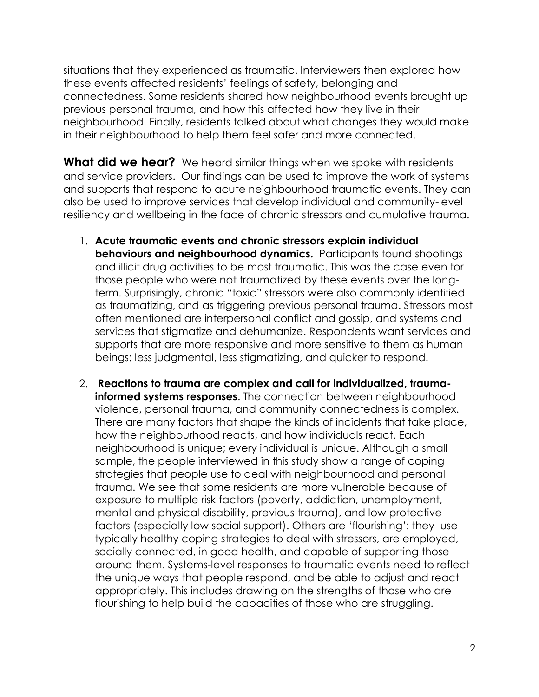situations that they experienced as traumatic. Interviewers then explored how these events affected residents' feelings of safety, belonging and connectedness. Some residents shared how neighbourhood events brought up previous personal trauma, and how this affected how they live in their neighbourhood. Finally, residents talked about what changes they would make in their neighbourhood to help them feel safer and more connected.

**What did we hear?** We heard similar things when we spoke with residents and service providers. Our findings can be used to improve the work of systems and supports that respond to acute neighbourhood traumatic events. They can also be used to improve services that develop individual and community-level resiliency and wellbeing in the face of chronic stressors and cumulative trauma.

- 1. **Acute traumatic events and chronic stressors explain individual behaviours and neighbourhood dynamics.** Participants found shootings and illicit drug activities to be most traumatic. This was the case even for those people who were not traumatized by these events over the longterm. Surprisingly, chronic "toxic" stressors were also commonly identified as traumatizing, and as triggering previous personal trauma. Stressors most often mentioned are interpersonal conflict and gossip, and systems and services that stigmatize and dehumanize. Respondents want services and supports that are more responsive and more sensitive to them as human beings: less judgmental, less stigmatizing, and quicker to respond.
- 2. **Reactions to trauma are complex and call for individualized, traumainformed systems responses**. The connection between neighbourhood violence, personal trauma, and community connectedness is complex. There are many factors that shape the kinds of incidents that take place, how the neighbourhood reacts, and how individuals react. Each neighbourhood is unique; every individual is unique. Although a small sample, the people interviewed in this study show a range of coping strategies that people use to deal with neighbourhood and personal trauma. We see that some residents are more vulnerable because of exposure to multiple risk factors (poverty, addiction, unemployment, mental and physical disability, previous trauma), and low protective factors (especially low social support). Others are 'flourishing': they use typically healthy coping strategies to deal with stressors, are employed, socially connected, in good health, and capable of supporting those around them. Systems-level responses to traumatic events need to reflect the unique ways that people respond, and be able to adjust and react appropriately. This includes drawing on the strengths of those who are flourishing to help build the capacities of those who are struggling.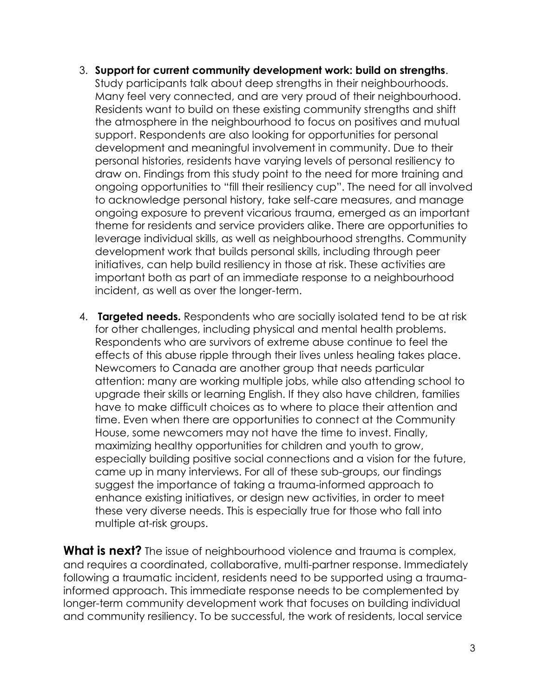- 3. **Support for current community development work: build on strengths**. Study participants talk about deep strengths in their neighbourhoods. Many feel very connected, and are very proud of their neighbourhood. Residents want to build on these existing community strengths and shift the atmosphere in the neighbourhood to focus on positives and mutual support. Respondents are also looking for opportunities for personal development and meaningful involvement in community. Due to their personal histories, residents have varying levels of personal resiliency to draw on. Findings from this study point to the need for more training and ongoing opportunities to "fill their resiliency cup". The need for all involved to acknowledge personal history, take self-care measures, and manage ongoing exposure to prevent vicarious trauma, emerged as an important theme for residents and service providers alike. There are opportunities to leverage individual skills, as well as neighbourhood strengths. Community development work that builds personal skills, including through peer initiatives, can help build resiliency in those at risk. These activities are important both as part of an immediate response to a neighbourhood incident, as well as over the longer-term.
- 4. **Targeted needs.** Respondents who are socially isolated tend to be at risk for other challenges, including physical and mental health problems. Respondents who are survivors of extreme abuse continue to feel the effects of this abuse ripple through their lives unless healing takes place. Newcomers to Canada are another group that needs particular attention: many are working multiple jobs, while also attending school to upgrade their skills or learning English. If they also have children, families have to make difficult choices as to where to place their attention and time. Even when there are opportunities to connect at the Community House, some newcomers may not have the time to invest. Finally, maximizing healthy opportunities for children and youth to grow, especially building positive social connections and a vision for the future, came up in many interviews. For all of these sub-groups, our findings suggest the importance of taking a trauma-informed approach to enhance existing initiatives, or design new activities, in order to meet these very diverse needs. This is especially true for those who fall into multiple at-risk groups.

**What is next?** The issue of neighbourhood violence and trauma is complex, and requires a coordinated, collaborative, multi-partner response. Immediately following a traumatic incident, residents need to be supported using a traumainformed approach. This immediate response needs to be complemented by longer-term community development work that focuses on building individual and community resiliency. To be successful, the work of residents, local service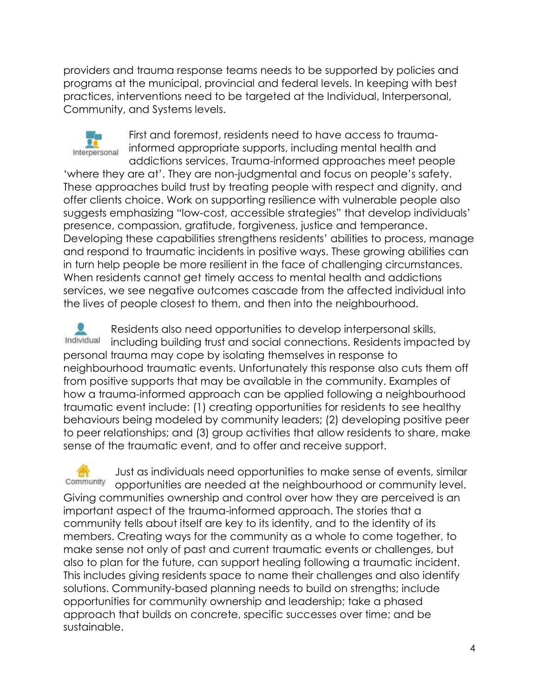providers and trauma response teams needs to be supported by policies and programs at the municipal, provincial and federal levels. In keeping with best practices, interventions need to be targeted at the Individual, Interpersonal, Community, and Systems levels.



First and foremost, residents need to have access to traumainformed appropriate supports, including mental health and addictions services. Trauma-informed approaches meet people 'where they are at'. They are non-judgmental and focus on people's safety. These approaches build trust by treating people with respect and dignity, and offer clients choice. Work on supporting resilience with vulnerable people also suggests emphasizing "low-cost, accessible strategies" that develop individuals' presence, compassion, gratitude, forgiveness, justice and temperance. Developing these capabilities strengthens residents' abilities to process, manage and respond to traumatic incidents in positive ways. These growing abilities can in turn help people be more resilient in the face of challenging circumstances. When residents cannot get timely access to mental health and addictions services, we see negative outcomes cascade from the affected individual into the lives of people closest to them, and then into the neighbourhood.

Residents also need opportunities to develop interpersonal skills, Individual including building trust and social connections. Residents impacted by personal trauma may cope by isolating themselves in response to neighbourhood traumatic events. Unfortunately this response also cuts them off from positive supports that may be available in the community. Examples of how a trauma-informed approach can be applied following a neighbourhood traumatic event include: (1) creating opportunities for residents to see healthy behaviours being modeled by community leaders; (2) developing positive peer to peer relationships; and (3) group activities that allow residents to share, make sense of the traumatic event, and to offer and receive support.

Just as individuals need opportunities to make sense of events, similar Community opportunities are needed at the neighbourhood or community level. Giving communities ownership and control over how they are perceived is an important aspect of the trauma-informed approach. The stories that a community tells about itself are key to its identity, and to the identity of its members. Creating ways for the community as a whole to come together, to make sense not only of past and current traumatic events or challenges, but also to plan for the future, can support healing following a traumatic incident. This includes giving residents space to name their challenges and also identify solutions. Community-based planning needs to build on strengths; include opportunities for community ownership and leadership; take a phased approach that builds on concrete, specific successes over time; and be sustainable.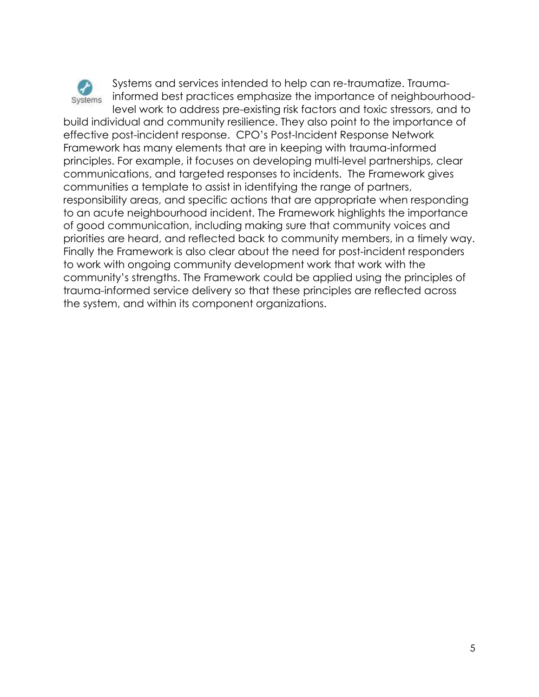

Systems and services intended to help can re-traumatize. Traumainformed best practices emphasize the importance of neighbourhoodlevel work to address pre-existing risk factors and toxic stressors, and to

build individual and community resilience. They also point to the importance of effective post-incident response. CPO's Post-Incident Response Network Framework has many elements that are in keeping with trauma-informed principles. For example, it focuses on developing multi-level partnerships, clear communications, and targeted responses to incidents. The Framework gives communities a template to assist in identifying the range of partners, responsibility areas, and specific actions that are appropriate when responding to an acute neighbourhood incident. The Framework highlights the importance of good communication, including making sure that community voices and priorities are heard, and reflected back to community members, in a timely way. Finally the Framework is also clear about the need for post-incident responders to work with ongoing community development work that work with the community's strengths. The Framework could be applied using the principles of trauma-informed service delivery so that these principles are reflected across the system, and within its component organizations.